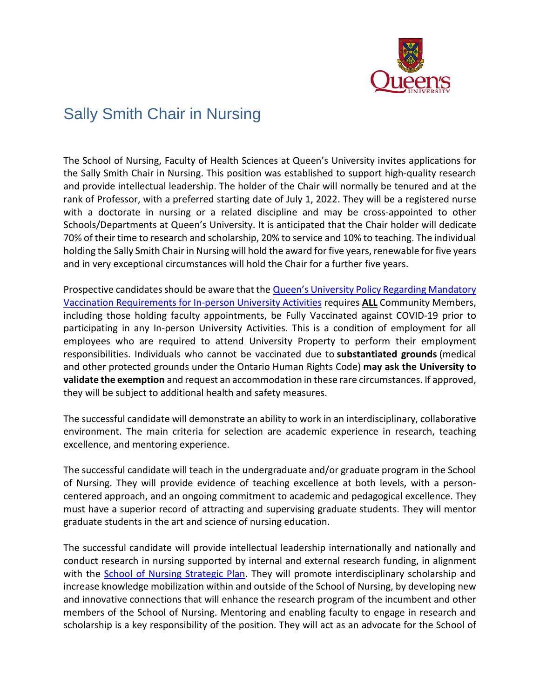

## Sally Smith Chair in Nursing

The School of Nursing, Faculty of Health Sciences at Queen's University invites applications for the Sally Smith Chair in Nursing. This position was established to support high-quality research and provide intellectual leadership. The holder of the Chair will normally be tenured and at the rank of Professor, with a preferred starting date of July 1, 2022. They will be a registered nurse with a doctorate in nursing or a related discipline and may be cross-appointed to other Schools/Departments at Queen's University. It is anticipated that the Chair holder will dedicate 70% of their time to research and scholarship, 20% to service and 10% to teaching. The individual holding the Sally Smith Chair in Nursing will hold the award for five years, renewable for five years and in very exceptional circumstances will hold the Chair for a further five years.

Prospective candidates should be aware that the [Queen's University Policy Regarding Mandatory](https://www.queensu.ca/secretariat/policies/administration-and-operations/covid-19-vaccination-requirements)  [Vaccination Requirements for In-person University Activities](https://www.queensu.ca/secretariat/policies/administration-and-operations/covid-19-vaccination-requirements) requires **ALL** Community Members, including those holding faculty appointments, be Fully Vaccinated against COVID-19 prior to participating in any In-person University Activities. This is a condition of employment for all employees who are required to attend University Property to perform their employment responsibilities. Individuals who cannot be vaccinated due to **substantiated grounds** (medical and other protected grounds under the Ontario Human Rights Code) **may ask the University to validate the exemption** and request an accommodation in these rare circumstances. If approved, they will be subject to additional health and safety measures.

The successful candidate will demonstrate an ability to work in an interdisciplinary, collaborative environment. The main criteria for selection are academic experience in research, teaching excellence, and mentoring experience.

The successful candidate will teach in the undergraduate and/or graduate program in the School of Nursing. They will provide evidence of teaching excellence at both levels, with a personcentered approach, and an ongoing commitment to academic and pedagogical excellence. They must have a superior record of attracting and supervising graduate students. They will mentor graduate students in the art and science of nursing education.

The successful candidate will provide intellectual leadership internationally and nationally and conduct research in nursing supported by internal and external research funding, in alignment with the [School of Nursing Strategic Plan.](https://nursing.queensu.ca/stories/news-announcements/queens-school-nursing-announces-2021-2022-strategic-plan) They will promote interdisciplinary scholarship and increase knowledge mobilization within and outside of the School of Nursing, by developing new and innovative connections that will enhance the research program of the incumbent and other members of the School of Nursing. Mentoring and enabling faculty to engage in research and scholarship is a key responsibility of the position. They will act as an advocate for the School of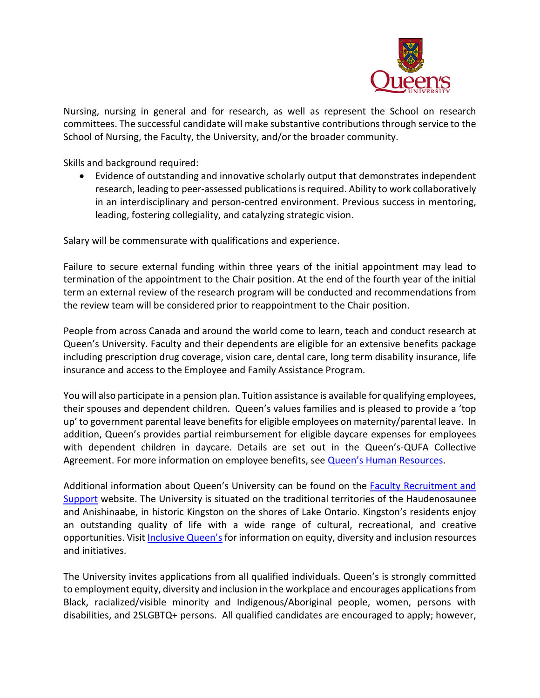

Nursing, nursing in general and for research, as well as represent the School on research committees. The successful candidate will make substantive contributions through service to the School of Nursing, the Faculty, the University, and/or the broader community.

Skills and background required:

• Evidence of outstanding and innovative scholarly output that demonstrates independent research, leading to peer-assessed publications is required. Ability to work collaboratively in an interdisciplinary and person-centred environment. Previous success in mentoring, leading, fostering collegiality, and catalyzing strategic vision.

Salary will be commensurate with qualifications and experience.

Failure to secure external funding within three years of the initial appointment may lead to termination of the appointment to the Chair position. At the end of the fourth year of the initial term an external review of the research program will be conducted and recommendations from the review team will be considered prior to reappointment to the Chair position.

People from across Canada and around the world come to learn, teach and conduct research at Queen's University. Faculty and their dependents are eligible for an extensive benefits package including prescription drug coverage, vision care, dental care, long term disability insurance, life insurance and access to the Employee and Family Assistance Program.

You will also participate in a pension plan. Tuition assistance is available for qualifying employees, their spouses and dependent children. Queen's values families and is pleased to provide a 'top up' to government parental leave benefits for eligible employees on maternity/parental leave. In addition, Queen's provides partial reimbursement for eligible daycare expenses for employees with dependent children in daycare. Details are set out in the Queen's-QUFA Collective Agreement. For more information on employee benefits, see **Queen's Human Resources**.

Additional information about Queen's University can be found on the [Faculty Recruitment and](http://www.queensu.ca/facultyrecruitment)  [Support](http://www.queensu.ca/facultyrecruitment) website. The University is situated on the traditional territories of the Haudenosaunee and Anishinaabe, in historic Kingston on the shores of Lake Ontario. Kingston's residents enjoy an outstanding quality of life with a wide range of cultural, recreational, and creative opportunities. Visit *Inclusive Queen's* for information on equity, diversity and inclusion resources and initiatives.

The University invites applications from all qualified individuals. Queen's is strongly committed to employment equity, diversity and inclusion in the workplace and encourages applications from Black, racialized/visible minority and Indigenous/Aboriginal people, women, persons with disabilities, and 2SLGBTQ+ persons. All qualified candidates are encouraged to apply; however,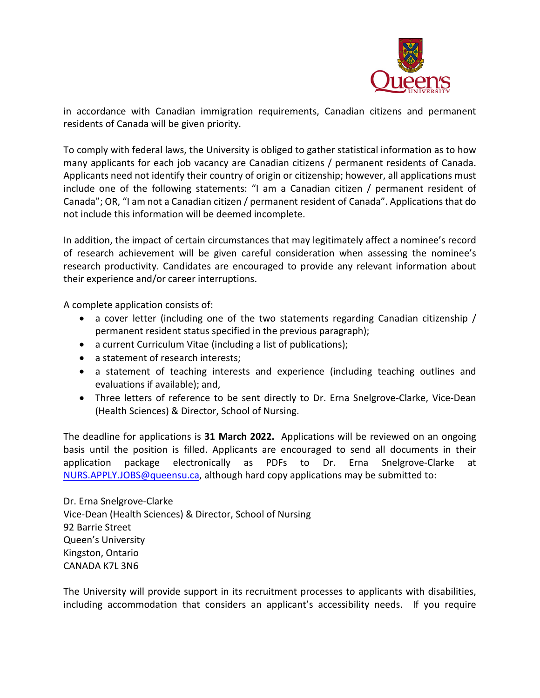

in accordance with Canadian immigration requirements, Canadian citizens and permanent residents of Canada will be given priority.

To comply with federal laws, the University is obliged to gather statistical information as to how many applicants for each job vacancy are Canadian citizens / permanent residents of Canada. Applicants need not identify their country of origin or citizenship; however, all applications must include one of the following statements: "I am a Canadian citizen / permanent resident of Canada"; OR, "I am not a Canadian citizen / permanent resident of Canada". Applications that do not include this information will be deemed incomplete.

In addition, the impact of certain circumstances that may legitimately affect a nominee's record of research achievement will be given careful consideration when assessing the nominee's research productivity. Candidates are encouraged to provide any relevant information about their experience and/or career interruptions.

A complete application consists of:

- a cover letter (including one of the two statements regarding Canadian citizenship / permanent resident status specified in the previous paragraph);
- a current Curriculum Vitae (including a list of publications);
- a statement of research interests;
- a statement of teaching interests and experience (including teaching outlines and evaluations if available); and,
- Three letters of reference to be sent directly to Dr. Erna Snelgrove-Clarke, Vice-Dean (Health Sciences) & Director, School of Nursing.

The deadline for applications is **31 March 2022.** Applications will be reviewed on an ongoing basis until the position is filled. Applicants are encouraged to send all documents in their application package electronically as PDFs to Dr. Erna Snelgrove-Clarke at [NURS.APPLY.JOBS@queensu.ca,](mailto:NURS.APPLY.JOBS@queensu.ca) although hard copy applications may be submitted to:

Dr. Erna Snelgrove-Clarke Vice-Dean (Health Sciences) & Director, School of Nursing 92 Barrie Street Queen's University Kingston, Ontario CANADA K7L 3N6

The University will provide support in its recruitment processes to applicants with disabilities, including accommodation that considers an applicant's accessibility needs. If you require